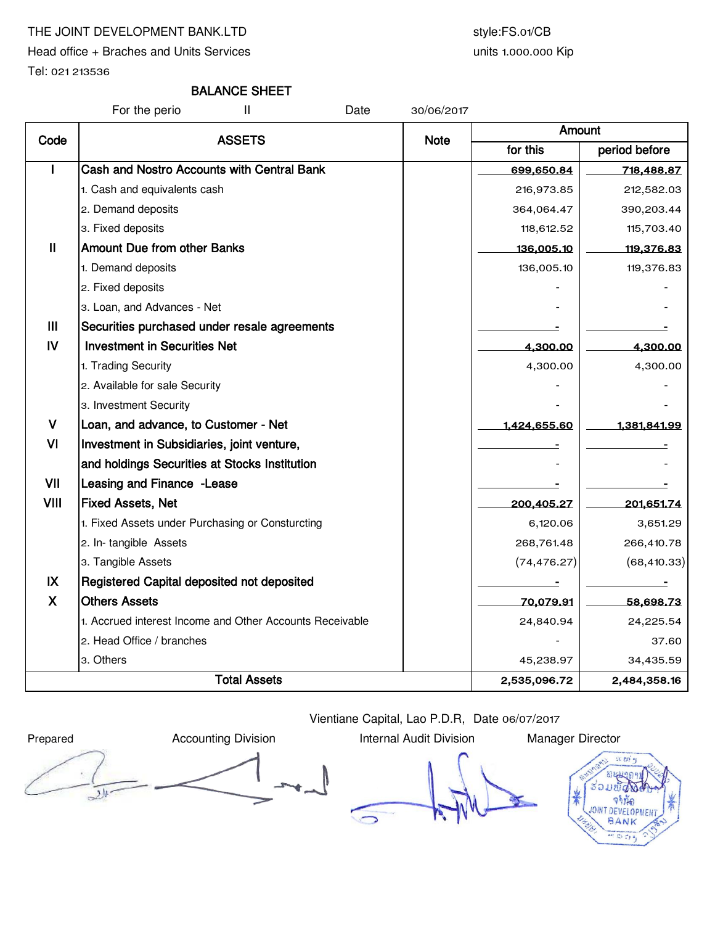# THE JOINT DEVELOPMENT BANK.LTD style:FS.01/CB

Head office + Braches and Units Services

units 1.000.000 Kip

Tel: 021 213536

# BALANCE SHEET

For the perio II Date 30/06/2017

| Code         | <b>ASSETS</b><br><b>Note</b>                             | Amount   |               |              |  |
|--------------|----------------------------------------------------------|----------|---------------|--------------|--|
|              |                                                          | for this | period before |              |  |
|              | Cash and Nostro Accounts with Central Bank               |          | 699,650.84    | 718,488.87   |  |
|              | 1. Cash and equivalents cash                             |          | 216,973.85    | 212,582.03   |  |
|              | 2. Demand deposits                                       |          | 364,064.47    | 390,203.44   |  |
|              | 3. Fixed deposits                                        |          | 118,612.52    | 115,703.40   |  |
| Ш            | <b>Amount Due from other Banks</b>                       |          | 136,005.10    | 119,376.83   |  |
|              | 1. Demand deposits                                       |          | 136,005.10    | 119,376.83   |  |
|              | 2. Fixed deposits                                        |          |               |              |  |
|              | 3. Loan, and Advances - Net                              |          |               |              |  |
| Ш            | Securities purchased under resale agreements             |          |               |              |  |
| $\mathbf{N}$ | <b>Investment in Securities Net</b>                      |          | 4,300.00      | 4,300.00     |  |
|              | 1. Trading Security                                      |          | 4,300.00      | 4,300.00     |  |
|              | 2. Available for sale Security                           |          |               |              |  |
|              | 3. Investment Security                                   |          |               |              |  |
| $\mathbf v$  | Loan, and advance, to Customer - Net                     |          | 1,424,655.60  | 1,381,841.99 |  |
| VI           | Investment in Subsidiaries, joint venture,               |          |               |              |  |
|              | and holdings Securities at Stocks Institution            |          |               |              |  |
| VII          | Leasing and Finance - Lease                              |          |               |              |  |
| <b>VIII</b>  | <b>Fixed Assets, Net</b>                                 |          | 200,405.27    | 201,651.74   |  |
|              | 1. Fixed Assets under Purchasing or Consturcting         |          | 6,120.06      | 3,651.29     |  |
|              | 2. In-tangible Assets                                    |          | 268,761.48    | 266,410.78   |  |
|              | 3. Tangible Assets                                       |          | (74, 476.27)  | (68, 410.33) |  |
| IX           | Registered Capital deposited not deposited               |          |               |              |  |
| X            | <b>Others Assets</b>                                     |          | 70,079.91     | 58,698.73    |  |
|              | 1. Accrued interest Income and Other Accounts Receivable |          | 24,840.94     | 24,225.54    |  |
|              | 2. Head Office / branches                                |          |               | 37.60        |  |
|              | 3. Others                                                |          | 45,238.97     | 34,435.59    |  |
|              | <b>Total Assets</b>                                      |          |               | 2,484,358.16 |  |

Vientiane Capital, Lao P.D.R, Date 06/07/2017

Prepared **Accounting Division** Internal Audit Division Manager Director 刘

 $\bigcirc$ 

a m' 55 จานัก BANK  $-557$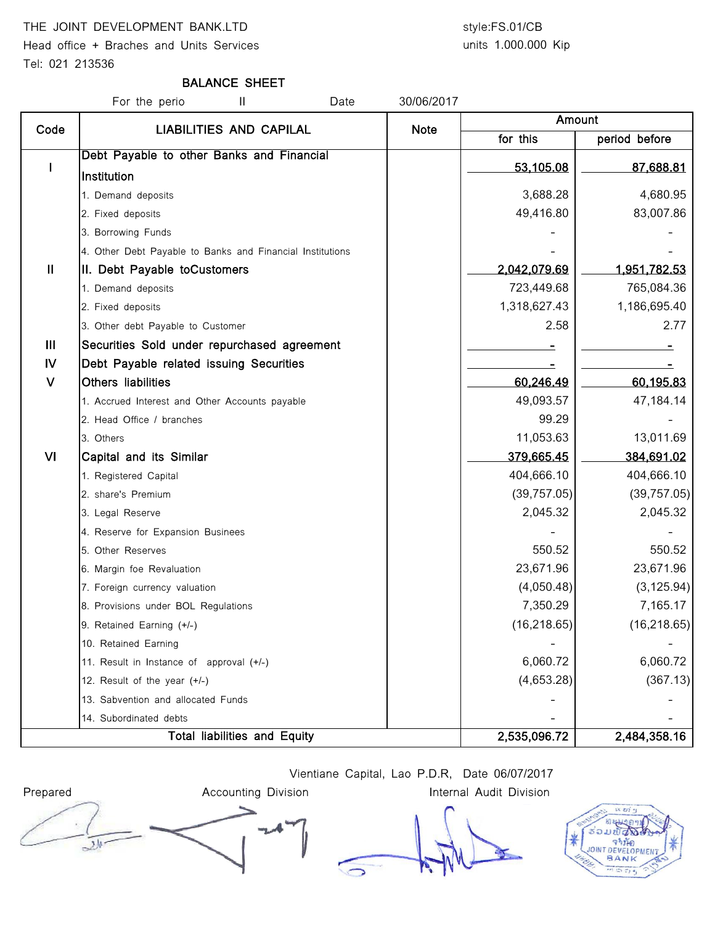## THE JOINT DEVELOPMENT BANK.LTD style:FS.01/CB

Head office + Braches and Units Services Tel: 021 213536

# units 1.000.000 Kip

### BALANCE SHEET

|                | For the perio<br>Ш<br>Date                                | 30/06/2017  |              |                     |  |
|----------------|-----------------------------------------------------------|-------------|--------------|---------------------|--|
| Code           | <b>LIABILITIES AND CAPILAL</b>                            | <b>Note</b> | Amount       |                     |  |
|                |                                                           |             | for this     | period before       |  |
|                | Debt Payable to other Banks and Financial                 |             | 53,105.08    | 87,688.81           |  |
|                | Institution                                               |             |              |                     |  |
|                | 1. Demand deposits                                        |             | 3,688.28     | 4,680.95            |  |
|                | 2. Fixed deposits                                         |             | 49,416.80    | 83,007.86           |  |
|                | 3. Borrowing Funds                                        |             |              |                     |  |
|                | 4. Other Debt Payable to Banks and Financial Institutions |             |              |                     |  |
| $\mathbf{H}$   | II. Debt Payable toCustomers                              |             | 2,042,079.69 | <u>1,951,782.53</u> |  |
|                | 1. Demand deposits                                        |             | 723,449.68   | 765,084.36          |  |
|                | 2. Fixed deposits                                         |             | 1,318,627.43 | 1,186,695.40        |  |
|                | 3. Other debt Payable to Customer                         |             | 2.58         | 2.77                |  |
| $\mathbf{III}$ | Securities Sold under repurchased agreement               |             |              |                     |  |
| IV             | Debt Payable related issuing Securities                   |             |              |                     |  |
| $\vee$         | Others liabilities                                        |             | 60,246.49    | 60,195.83           |  |
|                | 1. Accrued Interest and Other Accounts payable            |             | 49,093.57    | 47,184.14           |  |
|                | 2. Head Office / branches                                 |             | 99.29        |                     |  |
|                | 3. Others                                                 |             | 11,053.63    | 13,011.69           |  |
| VI             | Capital and its Similar                                   |             | 379,665.45   | <u>384,691.02</u>   |  |
|                | 1. Registered Capital                                     |             | 404,666.10   | 404,666.10          |  |
|                | 2. share's Premium                                        |             | (39, 757.05) | (39, 757.05)        |  |
|                | 3. Legal Reserve                                          |             | 2,045.32     | 2,045.32            |  |
|                | 4. Reserve for Expansion Businees                         |             |              |                     |  |
|                | 5. Other Reserves                                         |             | 550.52       | 550.52              |  |
|                | 6. Margin foe Revaluation                                 |             | 23,671.96    | 23,671.96           |  |
|                | 7. Foreign currency valuation                             |             | (4,050.48)   | (3, 125.94)         |  |
|                | 8. Provisions under BOL Regulations                       |             | 7,350.29     | 7,165.17            |  |
|                | 9. Retained Earning (+/-)                                 |             | (16, 218.65) | (16, 218.65)        |  |
|                | 10. Retained Earning                                      |             |              |                     |  |
|                | 11. Result in Instance of approval (+/-)                  |             | 6,060.72     | 6,060.72            |  |
|                | 12. Result of the year (+/-)                              |             | (4,653.28)   | (367.13)            |  |
|                | 13. Sabvention and allocated Funds                        |             |              |                     |  |
|                | 14. Subordinated debts                                    |             |              |                     |  |
|                | Total liabilities and Equity                              |             | 2,535,096.72 | 2,484,358.16        |  |

Vientiane Capital, Lao P.D.R, Date 06/07/2017



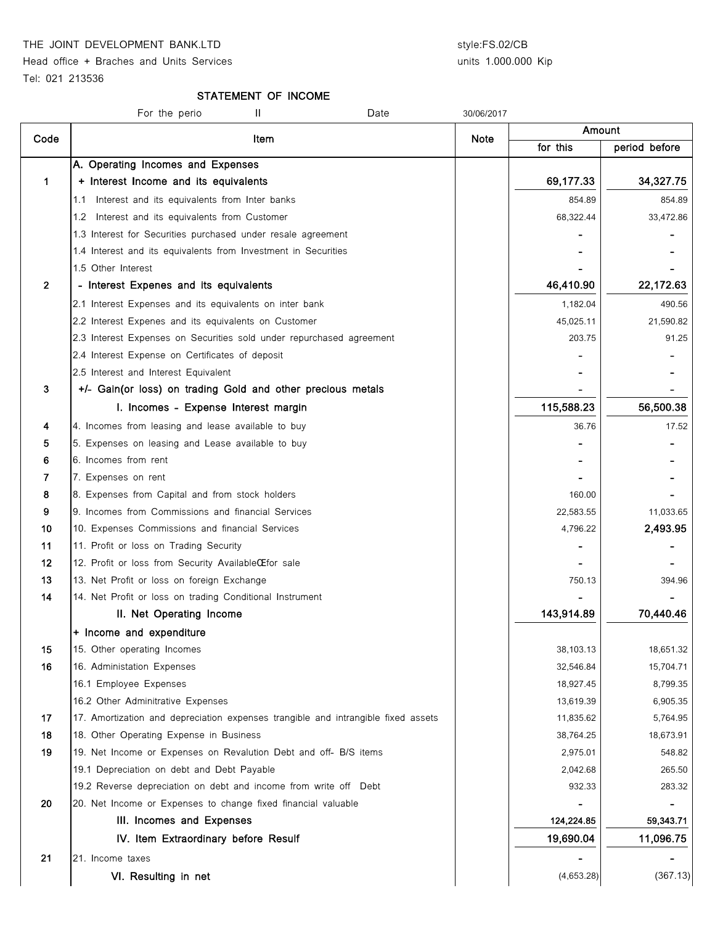THE JOINT DEVELOPMENT BANK.LTD style:FS.02/CB

Head office + Braches and Units Services

### units 1.000.000 Kip

Tel: 021 213536

#### STATEMENT OF INCOME

|                | For the perio<br>Ш<br>Date                                                        | 30/06/2017 |            |               |
|----------------|-----------------------------------------------------------------------------------|------------|------------|---------------|
| Code           | Item                                                                              |            | Amount     |               |
|                |                                                                                   | Note       | for this   | period before |
|                | A. Operating Incomes and Expenses                                                 |            |            |               |
| 1              | + Interest Income and its equivalents                                             |            | 69,177.33  | 34,327.75     |
|                | Interest and its equivalents from Inter banks<br>1.1                              |            | 854.89     | 854.89        |
|                | Interest and its equivalents from Customer<br>1.2                                 |            | 68,322.44  | 33,472.86     |
|                | 1.3 Interest for Securities purchased under resale agreement                      |            |            |               |
|                | 1.4 Interest and its equivalents from Investment in Securities                    |            |            |               |
|                | 1.5 Other Interest                                                                |            |            |               |
| $\overline{2}$ | - Interest Expenes and its equivalents                                            |            | 46,410.90  | 22,172.63     |
|                | 2.1 Interest Expenses and its equivalents on inter bank                           |            | 1,182.04   | 490.56        |
|                | 2.2 Interest Expenes and its equivalents on Customer                              |            | 45,025.11  | 21,590.82     |
|                | 2.3 Interest Expenses on Securities sold under repurchased agreement              |            | 203.75     | 91.25         |
|                | 2.4 Interest Expense on Certificates of deposit                                   |            |            |               |
|                | 2.5 Interest and Interest Equivalent                                              |            |            |               |
| 3              | +/- Gain(or loss) on trading Gold and other precious metals                       |            |            |               |
|                | I. Incomes - Expense Interest margin                                              |            | 115,588.23 | 56,500.38     |
| 4              | 4. Incomes from leasing and lease available to buy                                |            | 36.76      | 17.52         |
| 5              | 5. Expenses on leasing and Lease available to buy                                 |            |            |               |
| 6              | 6. Incomes from rent                                                              |            |            |               |
| 7              | 7. Expenses on rent                                                               |            |            |               |
| 8              | 8. Expenses from Capital and from stock holders                                   |            | 160.00     |               |
| 9              | 9. Incomes from Commissions and financial Services                                |            | 22,583.55  | 11,033.65     |
| 10             | 10. Expenses Commissions and financial Services                                   |            | 4,796.22   | 2,493.95      |
| 11             | 11. Profit or loss on Trading Security                                            |            |            |               |
| 12             | 12. Profit or loss from Security AvailableCE for sale                             |            |            |               |
| 13             | 13. Net Profit or loss on foreign Exchange                                        |            | 750.13     | 394.96        |
| 14             | 14. Net Profit or loss on trading Conditional Instrument                          |            |            |               |
|                | II. Net Operating Income                                                          |            | 143,914.89 | 70,440.46     |
|                | + Income and expenditure                                                          |            |            |               |
| 15             | 15. Other operating Incomes                                                       |            | 38,103.13  | 18,651.32     |
| 16             | 16. Administation Expenses                                                        |            | 32,546.84  | 15,704.71     |
|                | 16.1 Employee Expenses                                                            |            | 18,927.45  | 8,799.35      |
|                | 16.2 Other Adminitrative Expenses                                                 |            | 13,619.39  | 6,905.35      |
| 17             | 17. Amortization and depreciation expenses trangible and intrangible fixed assets |            | 11,835.62  | 5,764.95      |
| 18             | 18. Other Operating Expense in Business                                           |            | 38,764.25  | 18,673.91     |
| 19             | 19. Net Income or Expenses on Revalution Debt and off- B/S items                  |            | 2,975.01   | 548.82        |
|                | 19.1 Depreciation on debt and Debt Payable                                        |            | 2,042.68   | 265.50        |
|                | 19.2 Reverse depreciation on debt and income from write off Debt                  |            | 932.33     | 283.32        |
| 20             | 20. Net Income or Expenses to change fixed financial valuable                     |            |            |               |
|                | III. Incomes and Expenses                                                         |            | 124,224.85 | 59,343.71     |
|                | IV. Item Extraordinary before Resulf                                              |            | 19,690.04  | 11,096.75     |
| 21             | 21. Income taxes                                                                  |            |            |               |
|                |                                                                                   |            |            | (367.13)      |
|                | VI. Resulting in net                                                              |            | (4,653.28) |               |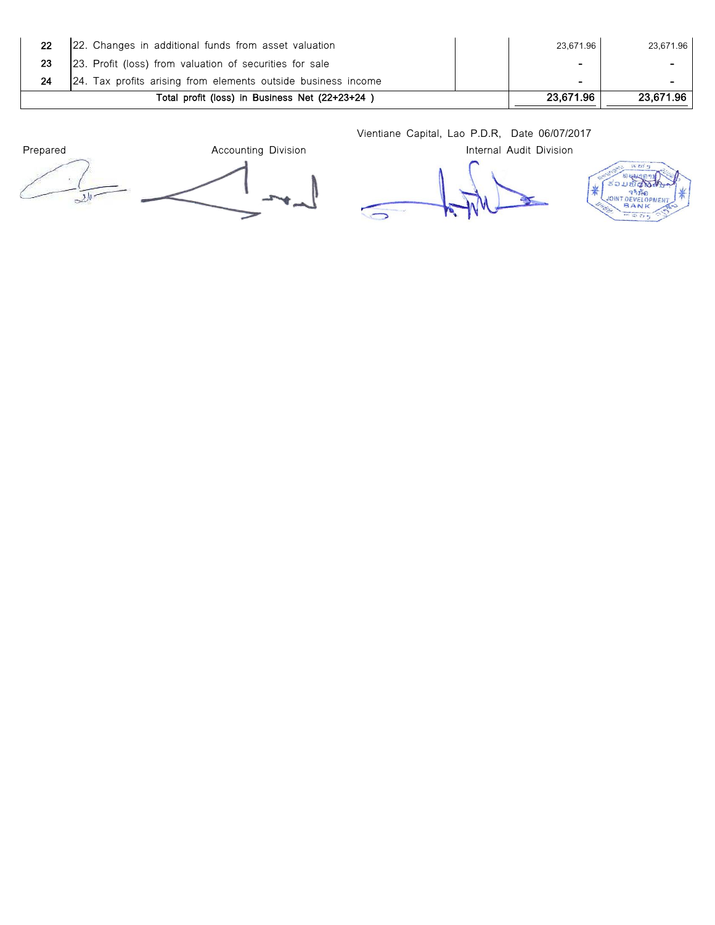| 22 | 22. Changes in additional funds from asset valuation          | 23.671.96                | 23.671.96 |
|----|---------------------------------------------------------------|--------------------------|-----------|
|    | [23. Profit (loss) from valuation of securities for sale      | $\overline{\phantom{0}}$ |           |
|    | 24. Tax profits arising from elements outside business income | $\sim$                   | $\sim$    |
|    | Total profit (loss) in Business Net (22+23+24)                | 23.671.96                | 23.671.96 |

Vientiane Capital, Lao P.D.R, Date 06/07/2017

Prepared **Accounting Division Accounting Division Internal Audit Division** 

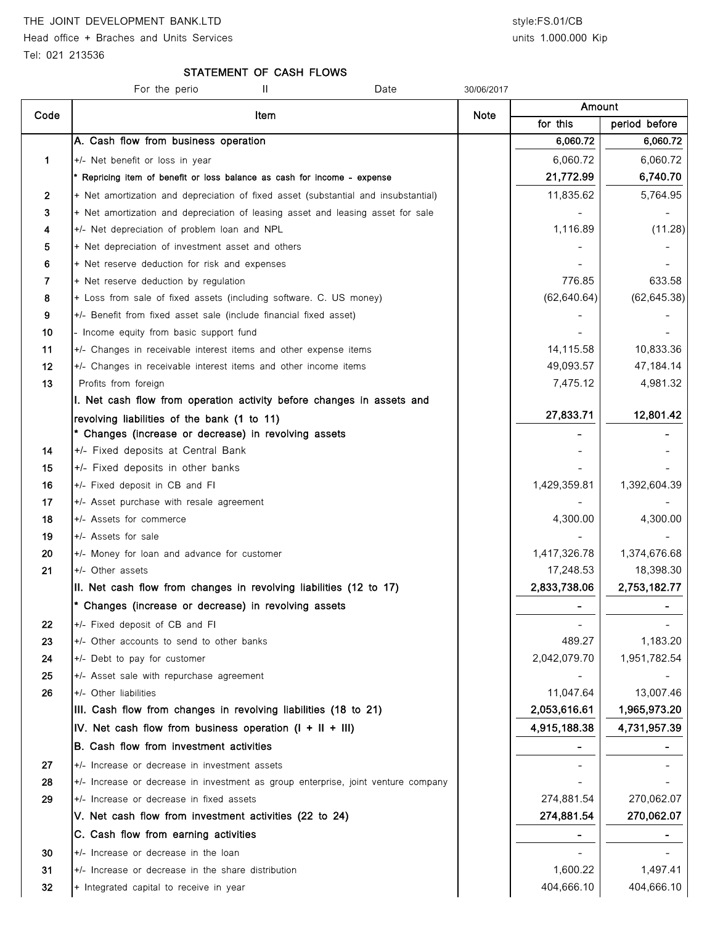# THE JOINT DEVELOPMENT BANK.LTD style:FS.01/CB

Head office + Braches and Units Services and Units 3.000.000 Kip

### STATEMENT OF CASH FLOWS

|              | Ш<br>Date<br>For the perio                                                         | 30/06/2017 |              |               |
|--------------|------------------------------------------------------------------------------------|------------|--------------|---------------|
| Code         | Item                                                                               | Note       | Amount       |               |
|              |                                                                                    |            | for this     | period before |
|              | A. Cash flow from business operation                                               |            | 6,060.72     | 6,060.72      |
| 1            | +/- Net benefit or loss in year                                                    |            | 6,060.72     | 6,060.72      |
|              | * Repricing item of benefit or loss balance as cash for income - expense           |            | 21,772.99    | 6,740.70      |
| $\mathbf{2}$ | + Net amortization and depreciation of fixed asset (substantial and insubstantial) |            | 11,835.62    | 5,764.95      |
| 3            | + Net amortization and depreciation of leasing asset and leasing asset for sale    |            |              |               |
| 4            | +/- Net depreciation of problem loan and NPL                                       |            | 1,116.89     | (11.28)       |
| 5            | + Net depreciation of investment asset and others                                  |            |              |               |
| 6            | + Net reserve deduction for risk and expenses                                      |            |              |               |
| 7            | + Net reserve deduction by regulation                                              |            | 776.85       | 633.58        |
| 8            | + Loss from sale of fixed assets (including software. C. US money)                 |            | (62, 640.64) | (62, 645.38)  |
| 9            | +/- Benefit from fixed asset sale (include financial fixed asset)                  |            |              |               |
| 10           | - Income equity from basic support fund                                            |            |              |               |
| 11           | +/- Changes in receivable interest items and other expense items                   |            | 14,115.58    | 10,833.36     |
| 12           | +/- Changes in receivable interest items and other income items                    |            | 49,093.57    | 47,184.14     |
| 13           | Profits from foreign                                                               |            | 7,475.12     | 4,981.32      |
|              | I. Net cash flow from operation activity before changes in assets and              |            |              |               |
|              | revolving liabilities of the bank (1 to 11)                                        |            | 27,833.71    | 12,801.42     |
|              | * Changes (increase or decrease) in revolving assets                               |            |              |               |
| 14           | +/- Fixed deposits at Central Bank                                                 |            |              |               |
| 15           | +/- Fixed deposits in other banks                                                  |            |              |               |
| 16<br>17     | +/- Fixed deposit in CB and FI                                                     |            | 1,429,359.81 | 1,392,604.39  |
| 18           | +/- Asset purchase with resale agreement<br>+/- Assets for commerce                |            | 4,300.00     | 4,300.00      |
| 19           | +/- Assets for sale                                                                |            |              |               |
| 20           | +/- Money for loan and advance for customer                                        |            | 1,417,326.78 | 1,374,676.68  |
| 21           | +/- Other assets                                                                   |            | 17,248.53    | 18,398.30     |
|              | II. Net cash flow from changes in revolving liabilities (12 to 17)                 |            | 2,833,738.06 | 2,753,182.77  |
|              | * Changes (increase or decrease) in revolving assets                               |            |              |               |
| 22           | +/- Fixed deposit of CB and FI                                                     |            |              |               |
| 23           | +/- Other accounts to send to other banks                                          |            | 489.27       | 1,183.20      |
| 24           | +/- Debt to pay for customer                                                       |            | 2,042,079.70 | 1,951,782.54  |
| 25           | +/- Asset sale with repurchase agreement                                           |            |              |               |
| 26           | +/- Other liabilities                                                              |            | 11,047.64    | 13,007.46     |
|              | III. Cash flow from changes in revolving liabilities (18 to 21)                    |            | 2,053,616.61 | 1,965,973.20  |
|              | IV. Net cash flow from business operation $(I + II + III)$                         |            | 4,915,188.38 | 4,731,957.39  |
|              | B. Cash flow from investment activities                                            |            |              |               |
| 27           | +/- Increase or decrease in investment assets                                      |            |              |               |
| 28           | +/- Increase or decrease in investment as group enterprise, joint venture company  |            |              |               |
| 29           | +/- Increase or decrease in fixed assets                                           |            | 274,881.54   | 270,062.07    |
|              | V. Net cash flow from investment activities (22 to 24)                             |            | 274,881.54   | 270,062.07    |
|              | C. Cash flow from earning activities                                               |            |              |               |
| 30           | +/- Increase or decrease in the loan                                               |            |              |               |
| 31           | +/- Increase or decrease in the share distribution                                 |            | 1,600.22     | 1,497.41      |
| 32           | + Integrated capital to receive in year                                            |            | 404,666.10   | 404,666.10    |
|              |                                                                                    |            |              |               |